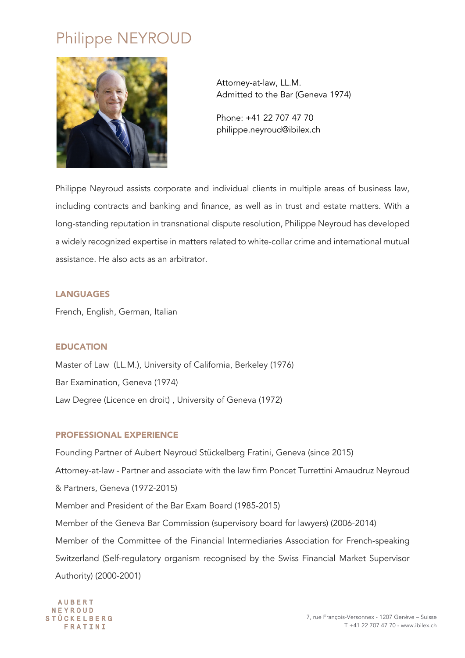# Philippe NEYROUD



Attorney-at-law, LL.M. Admitted to the Bar (Geneva 1974)

Phone: +41 22 707 47 70 philippe.neyroud@ibilex.ch

Philippe Neyroud assists corporate and individual clients in multiple areas of business law, including contracts and banking and finance, as well as in trust and estate matters. With a long-standing reputation in transnational dispute resolution, Philippe Neyroud has developed a widely recognized expertise in matters related to white-collar crime and international mutual assistance. He also acts as an arbitrator.

## LANGUAGES

French, English, German, Italian

## EDUCATION

Master of Law (LL.M.), University of California, Berkeley (1976) Bar Examination, Geneva (1974) Law Degree (Licence en droit) , University of Geneva (1972)

### PROFESSIONAL EXPERIENCE

Founding Partner of Aubert Neyroud Stückelberg Fratini, Geneva (since 2015) Attorney-at-law - Partner and associate with the law firm Poncet Turrettini Amaudruz Neyroud & Partners, Geneva (1972-2015) Member and President of the Bar Exam Board (1985-2015) Member of the Geneva Bar Commission (supervisory board for lawyers) (2006-2014) Member of the Committee of the Financial Intermediaries Association for French-speaking Switzerland (Self-regulatory organism recognised by the Swiss Financial Market Supervisor Authority) (2000-2001)

**AUBERT** NEYROUD **STÜCKELBERG** FRATINI